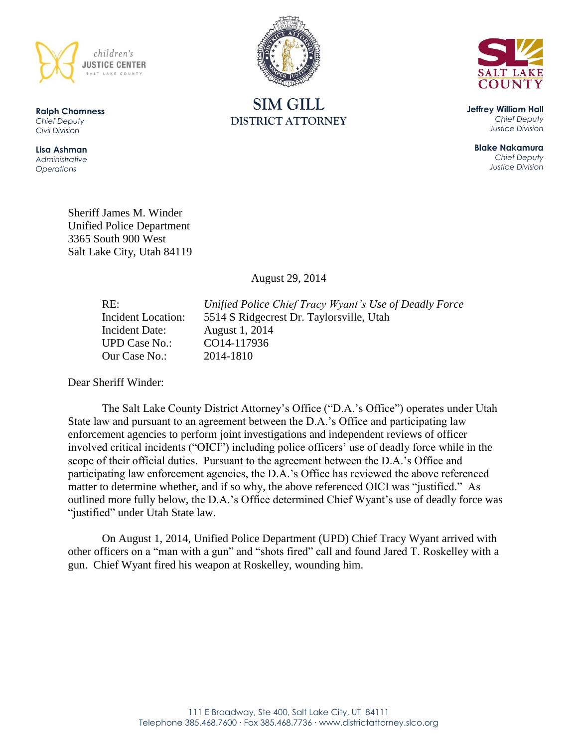





**Jeffrey William Hall** *Chief Deputy Justice Division*

**Blake Nakamura** *Chief Deputy Justice Division*

**Ralph Chamness**  *Chief Deputy Civil Division*

**Lisa Ashman** *Administrative Operations*

> Sheriff James M. Winder Unified Police Department 3365 South 900 West Salt Lake City, Utah 84119

> > August 29, 2014

UPD Case No.: CO14-117936 Our Case No.: 2014-1810

RE: *Unified Police Chief Tracy Wyant's Use of Deadly Force* Incident Location: 5514 S Ridgecrest Dr. Taylorsville, Utah Incident Date: August 1, 2014

Dear Sheriff Winder:

The Salt Lake County District Attorney's Office ("D.A.'s Office") operates under Utah State law and pursuant to an agreement between the D.A.'s Office and participating law enforcement agencies to perform joint investigations and independent reviews of officer involved critical incidents ("OICI") including police officers' use of deadly force while in the scope of their official duties. Pursuant to the agreement between the D.A.'s Office and participating law enforcement agencies, the D.A.'s Office has reviewed the above referenced matter to determine whether, and if so why, the above referenced OICI was "justified." As outlined more fully below, the D.A.'s Office determined Chief Wyant's use of deadly force was "justified" under Utah State law.

On August 1, 2014, Unified Police Department (UPD) Chief Tracy Wyant arrived with other officers on a "man with a gun" and "shots fired" call and found Jared T. Roskelley with a gun. Chief Wyant fired his weapon at Roskelley, wounding him.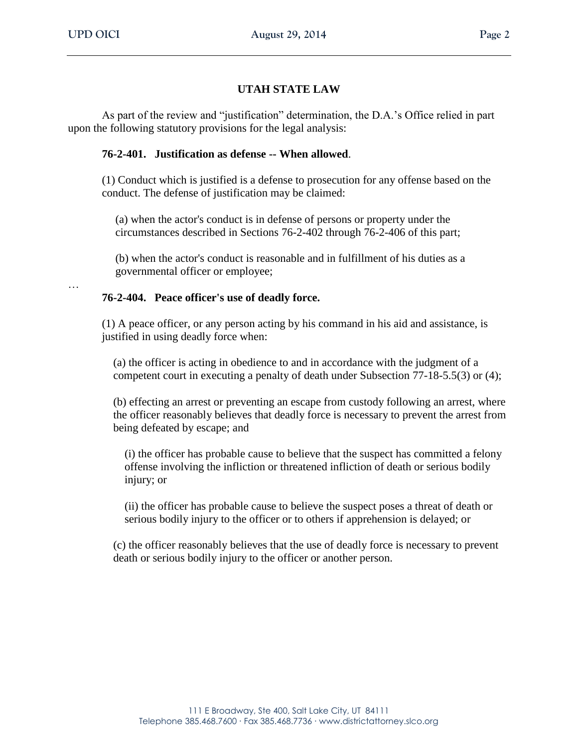# **UTAH STATE LAW**

As part of the review and "justification" determination, the D.A.'s Office relied in part upon the following statutory provisions for the legal analysis:

## **76-2-401. Justification as defense -- When allowed**.

(1) Conduct which is justified is a defense to prosecution for any offense based on the conduct. The defense of justification may be claimed:

(a) when the actor's conduct is in defense of persons or property under the circumstances described in Sections 76-2-402 through 76-2-406 of this part;

(b) when the actor's conduct is reasonable and in fulfillment of his duties as a governmental officer or employee;

…

### **76-2-404. Peace officer's use of deadly force.**

(1) A peace officer, or any person acting by his command in his aid and assistance, is justified in using deadly force when:

(a) the officer is acting in obedience to and in accordance with the judgment of a competent court in executing a penalty of death under Subsection 77-18-5.5(3) or (4);

(b) effecting an arrest or preventing an escape from custody following an arrest, where the officer reasonably believes that deadly force is necessary to prevent the arrest from being defeated by escape; and

(i) the officer has probable cause to believe that the suspect has committed a felony offense involving the infliction or threatened infliction of death or serious bodily injury; or

(ii) the officer has probable cause to believe the suspect poses a threat of death or serious bodily injury to the officer or to others if apprehension is delayed; or

(c) the officer reasonably believes that the use of deadly force is necessary to prevent death or serious bodily injury to the officer or another person.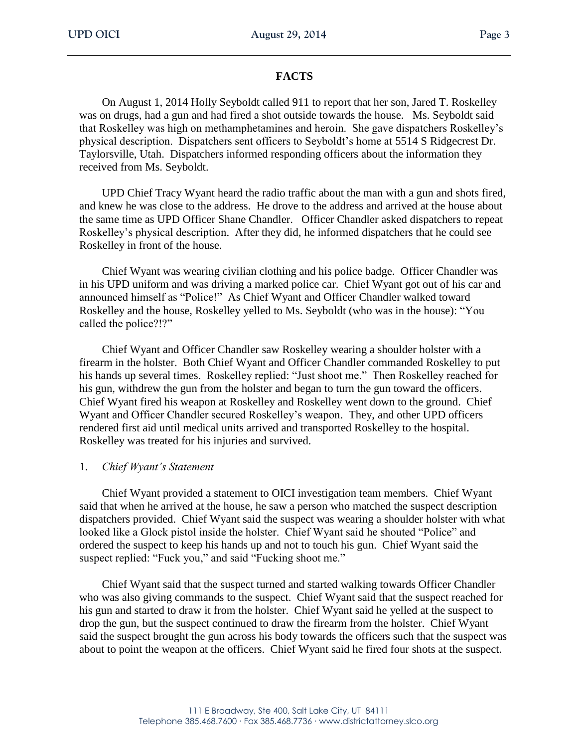### **FACTS**

On August 1, 2014 Holly Seyboldt called 911 to report that her son, Jared T. Roskelley was on drugs, had a gun and had fired a shot outside towards the house. Ms. Seyboldt said that Roskelley was high on methamphetamines and heroin. She gave dispatchers Roskelley's physical description. Dispatchers sent officers to Seyboldt's home at 5514 S Ridgecrest Dr. Taylorsville, Utah. Dispatchers informed responding officers about the information they received from Ms. Seyboldt.

UPD Chief Tracy Wyant heard the radio traffic about the man with a gun and shots fired, and knew he was close to the address. He drove to the address and arrived at the house about the same time as UPD Officer Shane Chandler. Officer Chandler asked dispatchers to repeat Roskelley's physical description. After they did, he informed dispatchers that he could see Roskelley in front of the house.

Chief Wyant was wearing civilian clothing and his police badge. Officer Chandler was in his UPD uniform and was driving a marked police car. Chief Wyant got out of his car and announced himself as "Police!" As Chief Wyant and Officer Chandler walked toward Roskelley and the house, Roskelley yelled to Ms. Seyboldt (who was in the house): "You called the police?!?"

Chief Wyant and Officer Chandler saw Roskelley wearing a shoulder holster with a firearm in the holster. Both Chief Wyant and Officer Chandler commanded Roskelley to put his hands up several times. Roskelley replied: "Just shoot me." Then Roskelley reached for his gun, withdrew the gun from the holster and began to turn the gun toward the officers. Chief Wyant fired his weapon at Roskelley and Roskelley went down to the ground. Chief Wyant and Officer Chandler secured Roskelley's weapon. They, and other UPD officers rendered first aid until medical units arrived and transported Roskelley to the hospital. Roskelley was treated for his injuries and survived.

### 1. *Chief Wyant's Statement*

Chief Wyant provided a statement to OICI investigation team members. Chief Wyant said that when he arrived at the house, he saw a person who matched the suspect description dispatchers provided. Chief Wyant said the suspect was wearing a shoulder holster with what looked like a Glock pistol inside the holster. Chief Wyant said he shouted "Police" and ordered the suspect to keep his hands up and not to touch his gun. Chief Wyant said the suspect replied: "Fuck you," and said "Fucking shoot me."

Chief Wyant said that the suspect turned and started walking towards Officer Chandler who was also giving commands to the suspect. Chief Wyant said that the suspect reached for his gun and started to draw it from the holster. Chief Wyant said he yelled at the suspect to drop the gun, but the suspect continued to draw the firearm from the holster. Chief Wyant said the suspect brought the gun across his body towards the officers such that the suspect was about to point the weapon at the officers. Chief Wyant said he fired four shots at the suspect.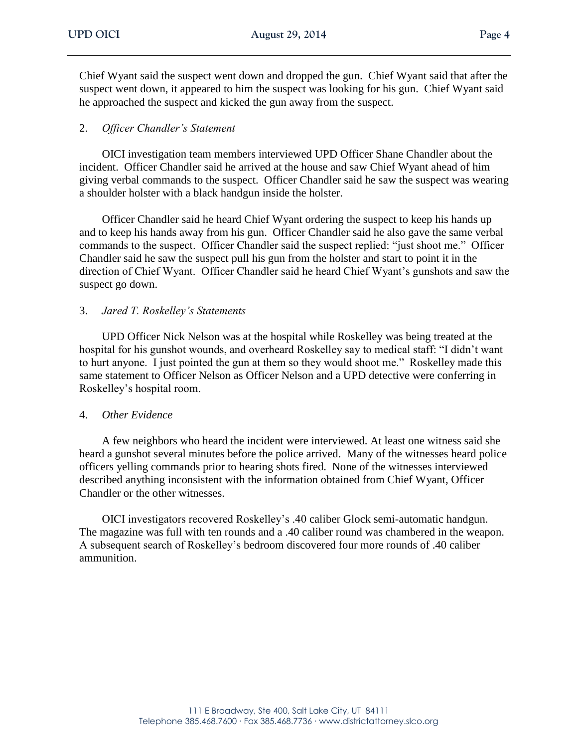Chief Wyant said the suspect went down and dropped the gun. Chief Wyant said that after the suspect went down, it appeared to him the suspect was looking for his gun. Chief Wyant said he approached the suspect and kicked the gun away from the suspect.

## 2. *Officer Chandler's Statement*

OICI investigation team members interviewed UPD Officer Shane Chandler about the incident. Officer Chandler said he arrived at the house and saw Chief Wyant ahead of him giving verbal commands to the suspect. Officer Chandler said he saw the suspect was wearing a shoulder holster with a black handgun inside the holster.

Officer Chandler said he heard Chief Wyant ordering the suspect to keep his hands up and to keep his hands away from his gun. Officer Chandler said he also gave the same verbal commands to the suspect. Officer Chandler said the suspect replied: "just shoot me." Officer Chandler said he saw the suspect pull his gun from the holster and start to point it in the direction of Chief Wyant. Officer Chandler said he heard Chief Wyant's gunshots and saw the suspect go down.

### 3. *Jared T. Roskelley's Statements*

UPD Officer Nick Nelson was at the hospital while Roskelley was being treated at the hospital for his gunshot wounds, and overheard Roskelley say to medical staff: "I didn't want to hurt anyone. I just pointed the gun at them so they would shoot me." Roskelley made this same statement to Officer Nelson as Officer Nelson and a UPD detective were conferring in Roskelley's hospital room.

### 4. *Other Evidence*

A few neighbors who heard the incident were interviewed. At least one witness said she heard a gunshot several minutes before the police arrived. Many of the witnesses heard police officers yelling commands prior to hearing shots fired. None of the witnesses interviewed described anything inconsistent with the information obtained from Chief Wyant, Officer Chandler or the other witnesses.

OICI investigators recovered Roskelley's .40 caliber Glock semi-automatic handgun. The magazine was full with ten rounds and a .40 caliber round was chambered in the weapon. A subsequent search of Roskelley's bedroom discovered four more rounds of .40 caliber ammunition.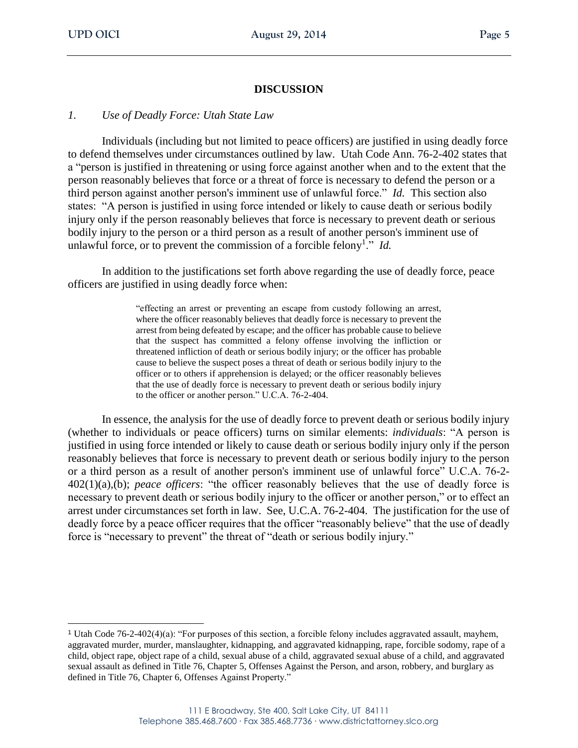## **DISCUSSION**

#### *1. Use of Deadly Force: Utah State Law*

Individuals (including but not limited to peace officers) are justified in using deadly force to defend themselves under circumstances outlined by law. Utah Code Ann. 76-2-402 states that a "person is justified in threatening or using force against another when and to the extent that the person reasonably believes that force or a threat of force is necessary to defend the person or a third person against another person's imminent use of unlawful force." *Id.* This section also states: "A person is justified in using force intended or likely to cause death or serious bodily injury only if the person reasonably believes that force is necessary to prevent death or serious bodily injury to the person or a third person as a result of another person's imminent use of unlawful force, or to prevent the commission of a forcible felony<sup>1</sup>." *Id.* 

In addition to the justifications set forth above regarding the use of deadly force, peace officers are justified in using deadly force when:

> "effecting an arrest or preventing an escape from custody following an arrest, where the officer reasonably believes that deadly force is necessary to prevent the arrest from being defeated by escape; and the officer has probable cause to believe that the suspect has committed a felony offense involving the infliction or threatened infliction of death or serious bodily injury; or the officer has probable cause to believe the suspect poses a threat of death or serious bodily injury to the officer or to others if apprehension is delayed; or the officer reasonably believes that the use of deadly force is necessary to prevent death or serious bodily injury to the officer or another person." U.C.A. 76-2-404.

In essence, the analysis for the use of deadly force to prevent death or serious bodily injury (whether to individuals or peace officers) turns on similar elements: *individuals*: "A person is justified in using force intended or likely to cause death or serious bodily injury only if the person reasonably believes that force is necessary to prevent death or serious bodily injury to the person or a third person as a result of another person's imminent use of unlawful force" U.C.A. 76-2- 402(1)(a),(b); *peace officers*: "the officer reasonably believes that the use of deadly force is necessary to prevent death or serious bodily injury to the officer or another person," or to effect an arrest under circumstances set forth in law. See, U.C.A. 76-2-404. The justification for the use of deadly force by a peace officer requires that the officer "reasonably believe" that the use of deadly force is "necessary to prevent" the threat of "death or serious bodily injury."

<sup>1</sup> Utah Code 76-2-402(4)(a): "For purposes of this section, a forcible felony includes aggravated assault, mayhem, aggravated murder, murder, manslaughter, kidnapping, and aggravated kidnapping, rape, forcible sodomy, rape of a child, object rape, object rape of a child, sexual abuse of a child, aggravated sexual abuse of a child, and aggravated sexual assault as defined in Title 76, Chapter 5, Offenses Against the Person, and arson, robbery, and burglary as defined in Title 76, Chapter 6, Offenses Against Property."